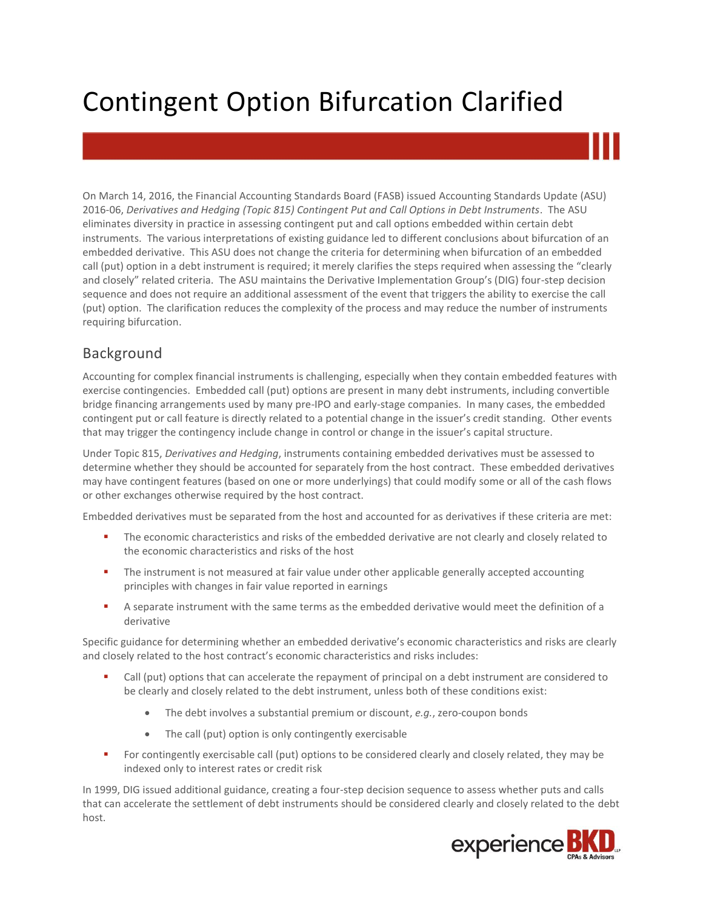# Contingent Option Bifurcation Clarified

On March 14, 2016, the Financial Accounting Standards Board (FASB) issued Accounting Standards Update (ASU) 2016-06, *Derivatives and Hedging (Topic 815) Contingent Put and Call Options in Debt Instruments*. The ASU eliminates diversity in practice in assessing contingent put and call options embedded within certain debt instruments. The various interpretations of existing guidance led to different conclusions about bifurcation of an embedded derivative. This ASU does not change the criteria for determining when bifurcation of an embedded call (put) option in a debt instrument is required; it merely clarifies the steps required when assessing the "clearly and closely" related criteria. The ASU maintains the Derivative Implementation Group's (DIG) four-step decision sequence and does not require an additional assessment of the event that triggers the ability to exercise the call (put) option. The clarification reduces the complexity of the process and may reduce the number of instruments requiring bifurcation.

# Background

Accounting for complex financial instruments is challenging, especially when they contain embedded features with exercise contingencies. Embedded call (put) options are present in many debt instruments, including convertible bridge financing arrangements used by many pre-IPO and early-stage companies. In many cases, the embedded contingent put or call feature is directly related to a potential change in the issuer's credit standing. Other events that may trigger the contingency include change in control or change in the issuer's capital structure.

Under Topic 815, *Derivatives and Hedging*, instruments containing embedded derivatives must be assessed to determine whether they should be accounted for separately from the host contract. These embedded derivatives may have contingent features (based on one or more underlyings) that could modify some or all of the cash flows or other exchanges otherwise required by the host contract.

Embedded derivatives must be separated from the host and accounted for as derivatives if these criteria are met:

- The economic characteristics and risks of the embedded derivative are not clearly and closely related to the economic characteristics and risks of the host
- **The instrument is not measured at fair value under other applicable generally accepted accounting** principles with changes in fair value reported in earnings
- A separate instrument with the same terms as the embedded derivative would meet the definition of a derivative

Specific guidance for determining whether an embedded derivative's economic characteristics and risks are clearly and closely related to the host contract's economic characteristics and risks includes:

- Call (put) options that can accelerate the repayment of principal on a debt instrument are considered to be clearly and closely related to the debt instrument, unless both of these conditions exist:
	- The debt involves a substantial premium or discount, *e.g.*, zero-coupon bonds
	- The call (put) option is only contingently exercisable
- For contingently exercisable call (put) options to be considered clearly and closely related, they may be indexed only to interest rates or credit risk

In 1999, DIG issued additional guidance, creating a four-step decision sequence to assess whether puts and calls that can accelerate the settlement of debt instruments should be considered clearly and closely related to the debt host.

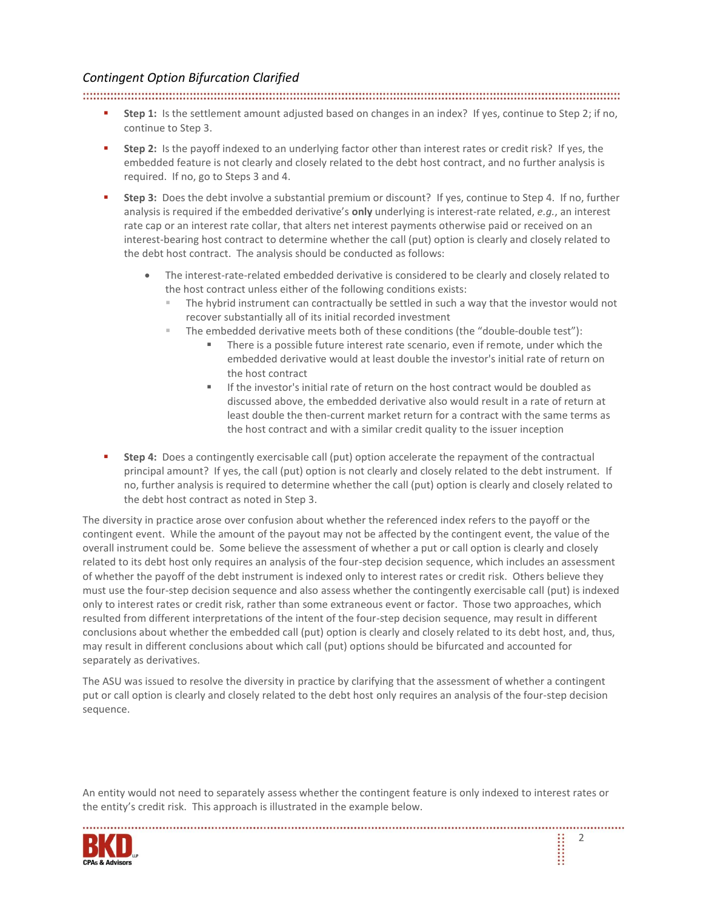## *Contingent Option Bifurcation Clarified*

#### 

- **Step 1:** Is the settlement amount adjusted based on changes in an index? If yes, continue to Step 2; if no, continue to Step 3.
- **Step 2:** Is the payoff indexed to an underlying factor other than interest rates or credit risk? If yes, the embedded feature is not clearly and closely related to the debt host contract, and no further analysis is required. If no, go to Steps 3 and 4.
- **Step 3:** Does the debt involve a substantial premium or discount? If yes, continue to Step 4. If no, further analysis is required if the embedded derivative's **only** underlying is interest-rate related, *e.g.*, an interest rate cap or an interest rate collar, that alters net interest payments otherwise paid or received on an interest-bearing host contract to determine whether the call (put) option is clearly and closely related to the debt host contract. The analysis should be conducted as follows:
	- The interest-rate-related embedded derivative is considered to be clearly and closely related to the host contract unless either of the following conditions exists:
		- The hybrid instrument can contractually be settled in such a way that the investor would not recover substantially all of its initial recorded investment
		- The embedded derivative meets both of these conditions (the "double-double test"):
			- There is a possible future interest rate scenario, even if remote, under which the embedded derivative would at least double the investor's initial rate of return on the host contract
			- If the investor's initial rate of return on the host contract would be doubled as discussed above, the embedded derivative also would result in a rate of return at least double the then-current market return for a contract with the same terms as the host contract and with a similar credit quality to the issuer inception
- **Step 4:** Does a contingently exercisable call (put) option accelerate the repayment of the contractual principal amount? If yes, the call (put) option is not clearly and closely related to the debt instrument. If no, further analysis is required to determine whether the call (put) option is clearly and closely related to the debt host contract as noted in Step 3.

The diversity in practice arose over confusion about whether the referenced index refers to the payoff or the contingent event. While the amount of the payout may not be affected by the contingent event, the value of the overall instrument could be. Some believe the assessment of whether a put or call option is clearly and closely related to its debt host only requires an analysis of the four-step decision sequence, which includes an assessment of whether the payoff of the debt instrument is indexed only to interest rates or credit risk. Others believe they must use the four-step decision sequence and also assess whether the contingently exercisable call (put) is indexed only to interest rates or credit risk, rather than some extraneous event or factor. Those two approaches, which resulted from different interpretations of the intent of the four-step decision sequence, may result in different conclusions about whether the embedded call (put) option is clearly and closely related to its debt host, and, thus, may result in different conclusions about which call (put) options should be bifurcated and accounted for separately as derivatives.

The ASU was issued to resolve the diversity in practice by clarifying that the assessment of whether a contingent put or call option is clearly and closely related to the debt host only requires an analysis of the four-step decision sequence.

An entity would not need to separately assess whether the contingent feature is only indexed to interest rates or the entity's credit risk. This approach is illustrated in the example below.